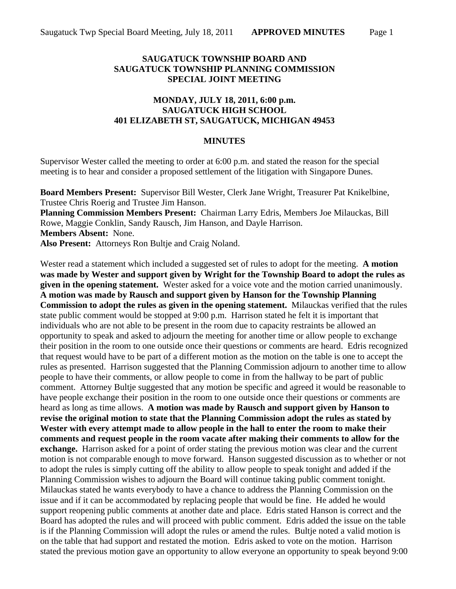## **SAUGATUCK TOWNSHIP BOARD AND SAUGATUCK TOWNSHIP PLANNING COMMISSION SPECIAL JOINT MEETING**

## **MONDAY, JULY 18, 2011, 6:00 p.m. SAUGATUCK HIGH SCHOOL 401 ELIZABETH ST, SAUGATUCK, MICHIGAN 49453**

## **MINUTES**

Supervisor Wester called the meeting to order at 6:00 p.m. and stated the reason for the special meeting is to hear and consider a proposed settlement of the litigation with Singapore Dunes.

**Board Members Present:** Supervisor Bill Wester, Clerk Jane Wright, Treasurer Pat Knikelbine, Trustee Chris Roerig and Trustee Jim Hanson.

**Planning Commission Members Present:** Chairman Larry Edris, Members Joe Milauckas, Bill Rowe, Maggie Conklin, Sandy Rausch, Jim Hanson, and Dayle Harrison.

**Members Absent:** None.

**Also Present:** Attorneys Ron Bultje and Craig Noland.

Wester read a statement which included a suggested set of rules to adopt for the meeting. **A motion was made by Wester and support given by Wright for the Township Board to adopt the rules as given in the opening statement.** Wester asked for a voice vote and the motion carried unanimously. **A motion was made by Rausch and support given by Hanson for the Township Planning Commission to adopt the rules as given in the opening statement.** Milauckas verified that the rules state public comment would be stopped at 9:00 p.m. Harrison stated he felt it is important that individuals who are not able to be present in the room due to capacity restraints be allowed an opportunity to speak and asked to adjourn the meeting for another time or allow people to exchange their position in the room to one outside once their questions or comments are heard. Edris recognized that request would have to be part of a different motion as the motion on the table is one to accept the rules as presented. Harrison suggested that the Planning Commission adjourn to another time to allow people to have their comments, or allow people to come in from the hallway to be part of public comment.Attorney Bultje suggested that any motion be specific and agreed it would be reasonable to have people exchange their position in the room to one outside once their questions or comments are heard as long as time allows. **A motion was made by Rausch and support given by Hanson to revise the original motion to state that the Planning Commission adopt the rules as stated by Wester with every attempt made to allow people in the hall to enter the room to make their comments and request people in the room vacate after making their comments to allow for the exchange.** Harrison asked for a point of order stating the previous motion was clear and the current motion is not comparable enough to move forward. Hanson suggested discussion as to whether or not to adopt the rules is simply cutting off the ability to allow people to speak tonight and added if the Planning Commission wishes to adjourn the Board will continue taking public comment tonight. Milauckas stated he wants everybody to have a chance to address the Planning Commission on the issue and if it can be accommodated by replacing people that would be fine. He added he would support reopening public comments at another date and place. Edris stated Hanson is correct and the Board has adopted the rules and will proceed with public comment. Edris added the issue on the table is if the Planning Commission will adopt the rules or amend the rules. Bultje noted a valid motion is on the table that had support and restated the motion. Edris asked to vote on the motion. Harrison stated the previous motion gave an opportunity to allow everyone an opportunity to speak beyond 9:00